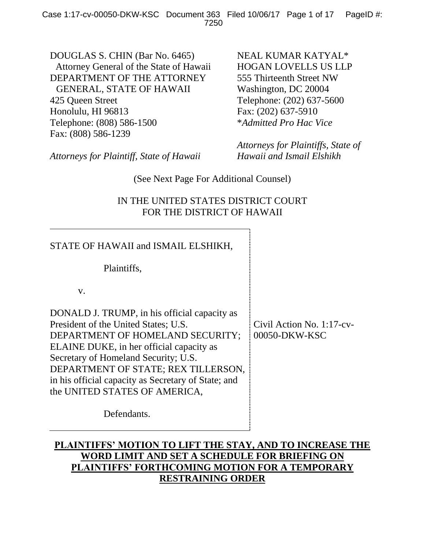DOUGLAS S. CHIN (Bar No. 6465) Attorney General of the State of Hawaii DEPARTMENT OF THE ATTORNEY GENERAL, STATE OF HAWAII 425 Queen Street Honolulu, HI 96813 Telephone: (808) 586-1500 Fax: (808) 586-1239

NEAL KUMAR KATYAL\* HOGAN LOVELLS US LLP 555 Thirteenth Street NW Washington, DC 20004 Telephone: (202) 637-5600 Fax: (202) 637-5910 \**Admitted Pro Hac Vice*

*Attorneys for Plaintiff, State of Hawaii*

*Attorneys for Plaintiffs, State of Hawaii and Ismail Elshikh*

(See Next Page For Additional Counsel)

# IN THE UNITED STATES DISTRICT COURT FOR THE DISTRICT OF HAWAII

| STATE OF HAWAII and ISMAIL ELSHIKH,                                                                                                                                                                                                                                                                                                         |                                               |
|---------------------------------------------------------------------------------------------------------------------------------------------------------------------------------------------------------------------------------------------------------------------------------------------------------------------------------------------|-----------------------------------------------|
| Plaintiffs,                                                                                                                                                                                                                                                                                                                                 |                                               |
| V.                                                                                                                                                                                                                                                                                                                                          |                                               |
| DONALD J. TRUMP, in his official capacity as<br>President of the United States; U.S.<br>DEPARTMENT OF HOMELAND SECURITY;<br>ELAINE DUKE, in her official capacity as<br>Secretary of Homeland Security; U.S.<br>DEPARTMENT OF STATE; REX TILLERSON,<br>in his official capacity as Secretary of State; and<br>the UNITED STATES OF AMERICA, | Civil Action No. $1:17$ -cv-<br>00050-DKW-KSC |
| Defendants.                                                                                                                                                                                                                                                                                                                                 |                                               |

# **PLAINTIFFS' MOTION TO LIFT THE STAY, AND TO INCREASE THE WORD LIMIT AND SET A SCHEDULE FOR BRIEFING ON PLAINTIFFS' FORTHCOMING MOTION FOR A TEMPORARY RESTRAINING ORDER**

 $\frac{1}{2}$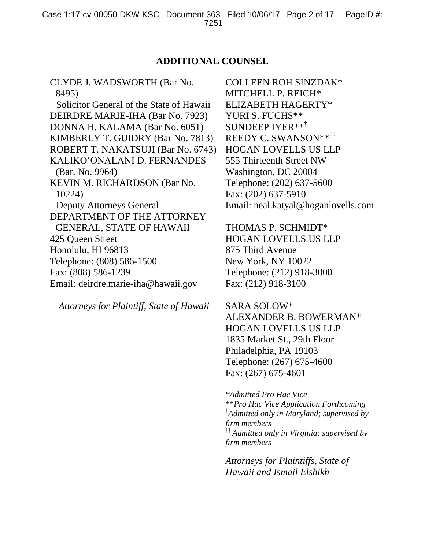### **ADDITIONAL COUNSEL**

CLYDE J. WADSWORTH (Bar No. 8495)

Solicitor General of the State of Hawaii DEIRDRE MARIE-IHA (Bar No. 7923) DONNA H. KALAMA (Bar No. 6051) KIMBERLY T. GUIDRY (Bar No. 7813) ROBERT T. NAKATSUJI (Bar No. 6743) KALIKO'ONALANI D. FERNANDES (Bar. No. 9964) KEVIN M. RICHARDSON (Bar No. 10224) Deputy Attorneys General DEPARTMENT OF THE ATTORNEY GENERAL, STATE OF HAWAII 425 Queen Street Honolulu, HI 96813 Telephone: (808) 586-1500 Fax: (808) 586-1239 Email: deirdre.marie-iha@hawaii.gov

*Attorneys for Plaintiff, State of Hawaii*

COLLEEN ROH SINZDAK\* MITCHELL P. REICH\* ELIZABETH HAGERTY\* YURI S. FUCHS\*\* SUNDEEP IYER\*\*† REEDY C. SWANSON\*\*†† HOGAN LOVELLS US LLP 555 Thirteenth Street NW Washington, DC 20004 Telephone: (202) 637-5600 Fax: (202) 637-5910 Email: neal.katyal@hoganlovells.com

THOMAS P. SCHMIDT\* HOGAN LOVELLS US LLP 875 Third Avenue New York, NY 10022 Telephone: (212) 918-3000 Fax: (212) 918-3100

SARA SOLOW\* ALEXANDER B. BOWERMAN\* HOGAN LOVELLS US LLP 1835 Market St., 29th Floor Philadelphia, PA 19103 Telephone: (267) 675-4600 Fax: (267) 675-4601

*\*Admitted Pro Hac Vice* \*\**Pro Hac Vice Application Forthcoming* † *Admitted only in Maryland; supervised by firm members*  †† *Admitted only in Virginia; supervised by firm members*

*Attorneys for Plaintiffs, State of Hawaii and Ismail Elshikh*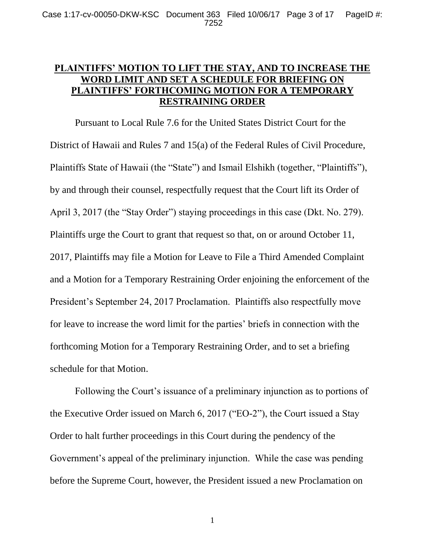## **PLAINTIFFS' MOTION TO LIFT THE STAY, AND TO INCREASE THE WORD LIMIT AND SET A SCHEDULE FOR BRIEFING ON PLAINTIFFS' FORTHCOMING MOTION FOR A TEMPORARY RESTRAINING ORDER**

Pursuant to Local Rule 7.6 for the United States District Court for the District of Hawaii and Rules 7 and 15(a) of the Federal Rules of Civil Procedure, Plaintiffs State of Hawaii (the "State") and Ismail Elshikh (together, "Plaintiffs"), by and through their counsel, respectfully request that the Court lift its Order of April 3, 2017 (the "Stay Order") staying proceedings in this case (Dkt. No. 279). Plaintiffs urge the Court to grant that request so that, on or around October 11, 2017, Plaintiffs may file a Motion for Leave to File a Third Amended Complaint and a Motion for a Temporary Restraining Order enjoining the enforcement of the President's September 24, 2017 Proclamation. Plaintiffs also respectfully move for leave to increase the word limit for the parties' briefs in connection with the forthcoming Motion for a Temporary Restraining Order, and to set a briefing schedule for that Motion.

Following the Court's issuance of a preliminary injunction as to portions of the Executive Order issued on March 6, 2017 ("EO-2"), the Court issued a Stay Order to halt further proceedings in this Court during the pendency of the Government's appeal of the preliminary injunction. While the case was pending before the Supreme Court, however, the President issued a new Proclamation on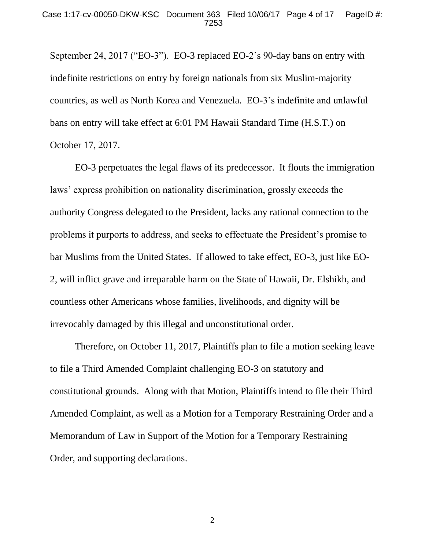September 24, 2017 ("EO-3"). EO-3 replaced EO-2's 90-day bans on entry with indefinite restrictions on entry by foreign nationals from six Muslim-majority countries, as well as North Korea and Venezuela. EO-3's indefinite and unlawful bans on entry will take effect at 6:01 PM Hawaii Standard Time (H.S.T.) on October 17, 2017.

EO-3 perpetuates the legal flaws of its predecessor. It flouts the immigration laws' express prohibition on nationality discrimination, grossly exceeds the authority Congress delegated to the President, lacks any rational connection to the problems it purports to address, and seeks to effectuate the President's promise to bar Muslims from the United States. If allowed to take effect, EO-3, just like EO-2, will inflict grave and irreparable harm on the State of Hawaii, Dr. Elshikh, and countless other Americans whose families, livelihoods, and dignity will be irrevocably damaged by this illegal and unconstitutional order.

Therefore, on October 11, 2017, Plaintiffs plan to file a motion seeking leave to file a Third Amended Complaint challenging EO-3 on statutory and constitutional grounds. Along with that Motion, Plaintiffs intend to file their Third Amended Complaint, as well as a Motion for a Temporary Restraining Order and a Memorandum of Law in Support of the Motion for a Temporary Restraining Order, and supporting declarations.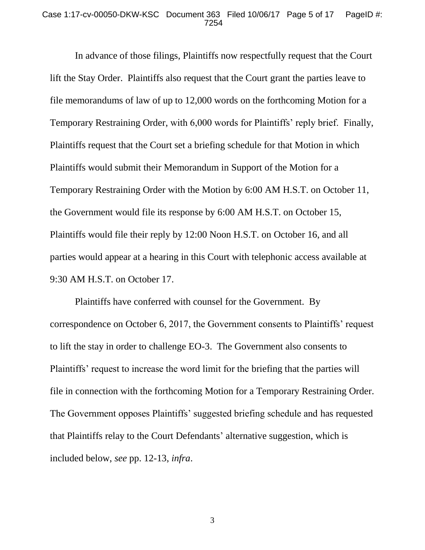#### Case 1:17-cv-00050-DKW-KSC Document 363 Filed 10/06/17 Page 5 of 17 PageID #: 7254

In advance of those filings, Plaintiffs now respectfully request that the Court lift the Stay Order. Plaintiffs also request that the Court grant the parties leave to file memorandums of law of up to 12,000 words on the forthcoming Motion for a Temporary Restraining Order, with 6,000 words for Plaintiffs' reply brief. Finally, Plaintiffs request that the Court set a briefing schedule for that Motion in which Plaintiffs would submit their Memorandum in Support of the Motion for a Temporary Restraining Order with the Motion by 6:00 AM H.S.T. on October 11, the Government would file its response by 6:00 AM H.S.T. on October 15, Plaintiffs would file their reply by 12:00 Noon H.S.T. on October 16, and all parties would appear at a hearing in this Court with telephonic access available at 9:30 AM H.S.T. on October 17.

Plaintiffs have conferred with counsel for the Government. By correspondence on October 6, 2017, the Government consents to Plaintiffs' request to lift the stay in order to challenge EO-3. The Government also consents to Plaintiffs' request to increase the word limit for the briefing that the parties will file in connection with the forthcoming Motion for a Temporary Restraining Order. The Government opposes Plaintiffs' suggested briefing schedule and has requested that Plaintiffs relay to the Court Defendants' alternative suggestion, which is included below, *see* pp. 12-13, *infra*.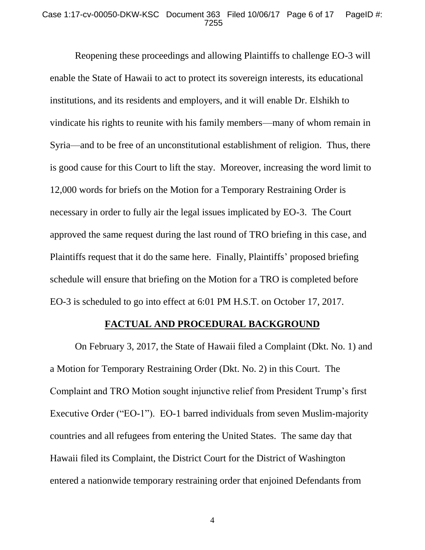### Case 1:17-cv-00050-DKW-KSC Document 363 Filed 10/06/17 Page 6 of 17 PageID #: 7255

Reopening these proceedings and allowing Plaintiffs to challenge EO-3 will enable the State of Hawaii to act to protect its sovereign interests, its educational institutions, and its residents and employers, and it will enable Dr. Elshikh to vindicate his rights to reunite with his family members—many of whom remain in Syria—and to be free of an unconstitutional establishment of religion. Thus, there is good cause for this Court to lift the stay. Moreover, increasing the word limit to 12,000 words for briefs on the Motion for a Temporary Restraining Order is necessary in order to fully air the legal issues implicated by EO-3. The Court approved the same request during the last round of TRO briefing in this case, and Plaintiffs request that it do the same here. Finally, Plaintiffs' proposed briefing schedule will ensure that briefing on the Motion for a TRO is completed before EO-3 is scheduled to go into effect at 6:01 PM H.S.T. on October 17, 2017.

### **FACTUAL AND PROCEDURAL BACKGROUND**

On February 3, 2017, the State of Hawaii filed a Complaint (Dkt. No. 1) and a Motion for Temporary Restraining Order (Dkt. No. 2) in this Court. The Complaint and TRO Motion sought injunctive relief from President Trump's first Executive Order ("EO-1"). EO-1 barred individuals from seven Muslim-majority countries and all refugees from entering the United States. The same day that Hawaii filed its Complaint, the District Court for the District of Washington entered a nationwide temporary restraining order that enjoined Defendants from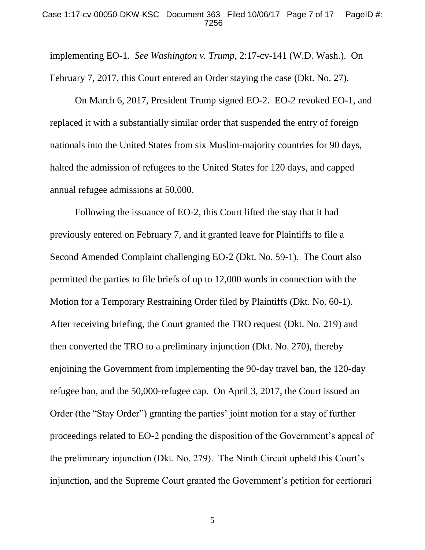implementing EO-1. *See Washington v. Trump*, 2:17-cv-141 (W.D. Wash.). On February 7, 2017, this Court entered an Order staying the case (Dkt. No. 27).

On March 6, 2017, President Trump signed EO-2. EO-2 revoked EO-1, and replaced it with a substantially similar order that suspended the entry of foreign nationals into the United States from six Muslim-majority countries for 90 days, halted the admission of refugees to the United States for 120 days, and capped annual refugee admissions at 50,000.

Following the issuance of EO-2, this Court lifted the stay that it had previously entered on February 7, and it granted leave for Plaintiffs to file a Second Amended Complaint challenging EO-2 (Dkt. No. 59-1). The Court also permitted the parties to file briefs of up to 12,000 words in connection with the Motion for a Temporary Restraining Order filed by Plaintiffs (Dkt. No. 60-1). After receiving briefing, the Court granted the TRO request (Dkt. No. 219) and then converted the TRO to a preliminary injunction (Dkt. No. 270), thereby enjoining the Government from implementing the 90-day travel ban, the 120-day refugee ban, and the 50,000-refugee cap. On April 3, 2017, the Court issued an Order (the "Stay Order") granting the parties' joint motion for a stay of further proceedings related to EO-2 pending the disposition of the Government's appeal of the preliminary injunction (Dkt. No. 279). The Ninth Circuit upheld this Court's injunction, and the Supreme Court granted the Government's petition for certiorari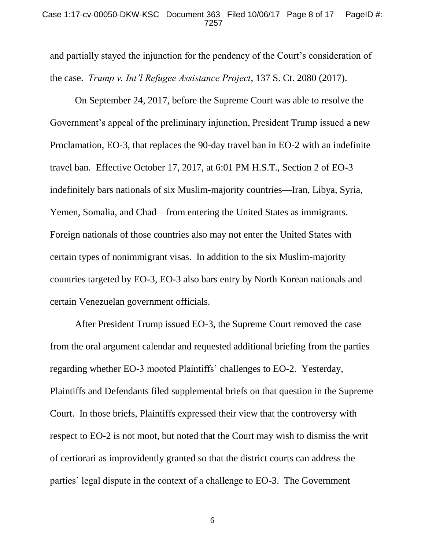### Case 1:17-cv-00050-DKW-KSC Document 363 Filed 10/06/17 Page 8 of 17 PageID #: 7257

and partially stayed the injunction for the pendency of the Court's consideration of the case. *Trump v. Int'l Refugee Assistance Project*, 137 S. Ct. 2080 (2017).

On September 24, 2017, before the Supreme Court was able to resolve the Government's appeal of the preliminary injunction, President Trump issued a new Proclamation, EO-3, that replaces the 90-day travel ban in EO-2 with an indefinite travel ban. Effective October 17, 2017, at 6:01 PM H.S.T., Section 2 of EO-3 indefinitely bars nationals of six Muslim-majority countries—Iran, Libya, Syria, Yemen, Somalia, and Chad—from entering the United States as immigrants. Foreign nationals of those countries also may not enter the United States with certain types of nonimmigrant visas. In addition to the six Muslim-majority countries targeted by EO-3, EO-3 also bars entry by North Korean nationals and certain Venezuelan government officials.

After President Trump issued EO-3, the Supreme Court removed the case from the oral argument calendar and requested additional briefing from the parties regarding whether EO-3 mooted Plaintiffs' challenges to EO-2. Yesterday, Plaintiffs and Defendants filed supplemental briefs on that question in the Supreme Court. In those briefs, Plaintiffs expressed their view that the controversy with respect to EO-2 is not moot, but noted that the Court may wish to dismiss the writ of certiorari as improvidently granted so that the district courts can address the parties' legal dispute in the context of a challenge to EO-3. The Government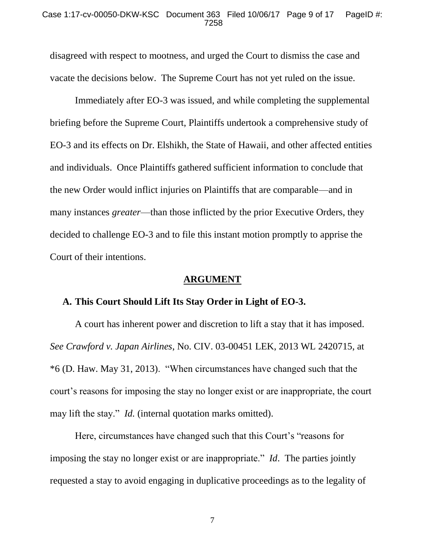### Case 1:17-cv-00050-DKW-KSC Document 363 Filed 10/06/17 Page 9 of 17 PageID #: 7258

disagreed with respect to mootness, and urged the Court to dismiss the case and vacate the decisions below. The Supreme Court has not yet ruled on the issue.

Immediately after EO-3 was issued, and while completing the supplemental briefing before the Supreme Court, Plaintiffs undertook a comprehensive study of EO-3 and its effects on Dr. Elshikh, the State of Hawaii, and other affected entities and individuals. Once Plaintiffs gathered sufficient information to conclude that the new Order would inflict injuries on Plaintiffs that are comparable—and in many instances *greater*—than those inflicted by the prior Executive Orders, they decided to challenge EO-3 and to file this instant motion promptly to apprise the Court of their intentions.

### **ARGUMENT**

### **A. This Court Should Lift Its Stay Order in Light of EO-3.**

A court has inherent power and discretion to lift a stay that it has imposed. *See Crawford v. Japan Airlines*, No. CIV. 03-00451 LEK, 2013 WL 2420715, at \*6 (D. Haw. May 31, 2013). "When circumstances have changed such that the court's reasons for imposing the stay no longer exist or are inappropriate, the court may lift the stay." *Id.* (internal quotation marks omitted).

Here, circumstances have changed such that this Court's "reasons for imposing the stay no longer exist or are inappropriate." *Id*. The parties jointly requested a stay to avoid engaging in duplicative proceedings as to the legality of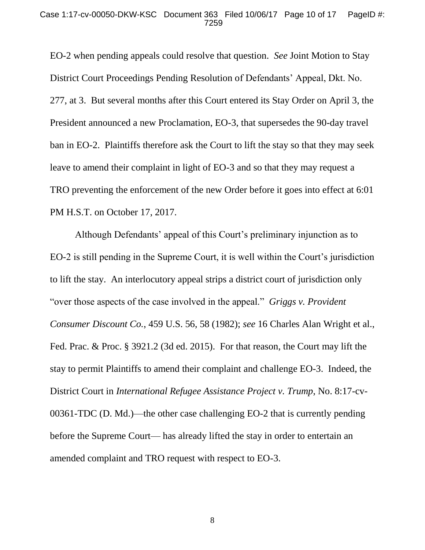EO-2 when pending appeals could resolve that question. *See* Joint Motion to Stay District Court Proceedings Pending Resolution of Defendants' Appeal, Dkt. No. 277, at 3. But several months after this Court entered its Stay Order on April 3, the President announced a new Proclamation, EO-3, that supersedes the 90-day travel ban in EO-2. Plaintiffs therefore ask the Court to lift the stay so that they may seek leave to amend their complaint in light of EO-3 and so that they may request a TRO preventing the enforcement of the new Order before it goes into effect at 6:01 PM H.S.T. on October 17, 2017.

Although Defendants' appeal of this Court's preliminary injunction as to EO-2 is still pending in the Supreme Court, it is well within the Court's jurisdiction to lift the stay. An interlocutory appeal strips a district court of jurisdiction only "over those aspects of the case involved in the appeal." *Griggs v. Provident Consumer Discount Co.*, 459 U.S. 56, 58 (1982); *see* 16 Charles Alan Wright et al., Fed. Prac. & Proc. § 3921.2 (3d ed. 2015). For that reason, the Court may lift the stay to permit Plaintiffs to amend their complaint and challenge EO-3. Indeed, the District Court in *International Refugee Assistance Project v. Trump*, No. 8:17-cv-00361-TDC (D. Md.)—the other case challenging EO-2 that is currently pending before the Supreme Court— has already lifted the stay in order to entertain an amended complaint and TRO request with respect to EO-3.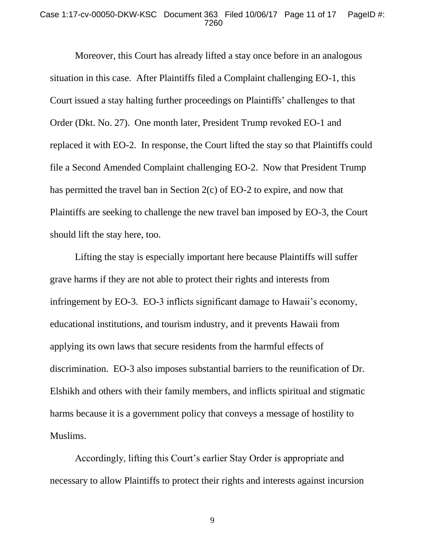#### Case 1:17-cv-00050-DKW-KSC Document 363 Filed 10/06/17 Page 11 of 17 PageID #: 7260

Moreover, this Court has already lifted a stay once before in an analogous situation in this case. After Plaintiffs filed a Complaint challenging EO-1, this Court issued a stay halting further proceedings on Plaintiffs' challenges to that Order (Dkt. No. 27). One month later, President Trump revoked EO-1 and replaced it with EO-2. In response, the Court lifted the stay so that Plaintiffs could file a Second Amended Complaint challenging EO-2. Now that President Trump has permitted the travel ban in Section 2(c) of EO-2 to expire, and now that Plaintiffs are seeking to challenge the new travel ban imposed by EO-3, the Court should lift the stay here, too.

Lifting the stay is especially important here because Plaintiffs will suffer grave harms if they are not able to protect their rights and interests from infringement by EO-3. EO-3 inflicts significant damage to Hawaii's economy, educational institutions, and tourism industry, and it prevents Hawaii from applying its own laws that secure residents from the harmful effects of discrimination. EO-3 also imposes substantial barriers to the reunification of Dr. Elshikh and others with their family members, and inflicts spiritual and stigmatic harms because it is a government policy that conveys a message of hostility to Muslims.

Accordingly, lifting this Court's earlier Stay Order is appropriate and necessary to allow Plaintiffs to protect their rights and interests against incursion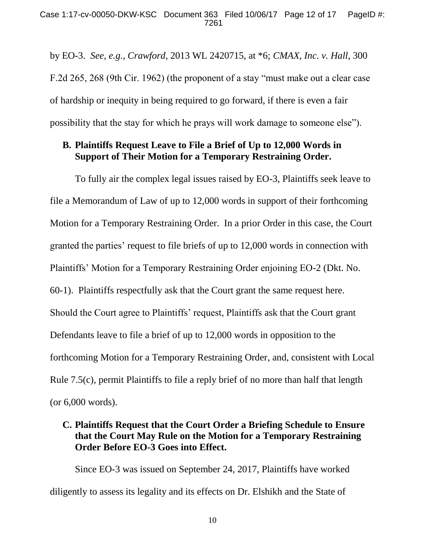by EO-3. *See, e.g.*, *Crawford*, 2013 WL 2420715, at \*6; *CMAX, Inc. v. Hall*, 300 F.2d 265, 268 (9th Cir. 1962) (the proponent of a stay "must make out a clear case of hardship or inequity in being required to go forward, if there is even a fair possibility that the stay for which he prays will work damage to someone else").

## **B. Plaintiffs Request Leave to File a Brief of Up to 12,000 Words in Support of Their Motion for a Temporary Restraining Order.**

To fully air the complex legal issues raised by EO-3, Plaintiffs seek leave to file a Memorandum of Law of up to 12,000 words in support of their forthcoming Motion for a Temporary Restraining Order. In a prior Order in this case, the Court granted the parties' request to file briefs of up to 12,000 words in connection with Plaintiffs' Motion for a Temporary Restraining Order enjoining EO-2 (Dkt. No. 60-1). Plaintiffs respectfully ask that the Court grant the same request here. Should the Court agree to Plaintiffs' request, Plaintiffs ask that the Court grant Defendants leave to file a brief of up to 12,000 words in opposition to the forthcoming Motion for a Temporary Restraining Order, and, consistent with Local Rule 7.5(c), permit Plaintiffs to file a reply brief of no more than half that length (or 6,000 words).

## **C. Plaintiffs Request that the Court Order a Briefing Schedule to Ensure that the Court May Rule on the Motion for a Temporary Restraining Order Before EO-3 Goes into Effect.**

Since EO-3 was issued on September 24, 2017, Plaintiffs have worked diligently to assess its legality and its effects on Dr. Elshikh and the State of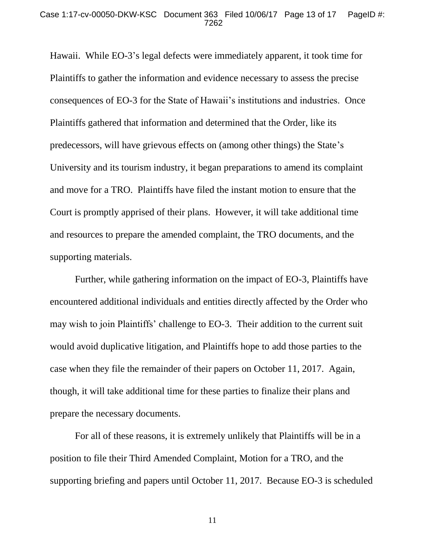Hawaii. While EO-3's legal defects were immediately apparent, it took time for Plaintiffs to gather the information and evidence necessary to assess the precise consequences of EO-3 for the State of Hawaii's institutions and industries. Once Plaintiffs gathered that information and determined that the Order, like its predecessors, will have grievous effects on (among other things) the State's University and its tourism industry, it began preparations to amend its complaint and move for a TRO. Plaintiffs have filed the instant motion to ensure that the Court is promptly apprised of their plans. However, it will take additional time and resources to prepare the amended complaint, the TRO documents, and the supporting materials.

Further, while gathering information on the impact of EO-3, Plaintiffs have encountered additional individuals and entities directly affected by the Order who may wish to join Plaintiffs' challenge to EO-3. Their addition to the current suit would avoid duplicative litigation, and Plaintiffs hope to add those parties to the case when they file the remainder of their papers on October 11, 2017. Again, though, it will take additional time for these parties to finalize their plans and prepare the necessary documents.

For all of these reasons, it is extremely unlikely that Plaintiffs will be in a position to file their Third Amended Complaint, Motion for a TRO, and the supporting briefing and papers until October 11, 2017. Because EO-3 is scheduled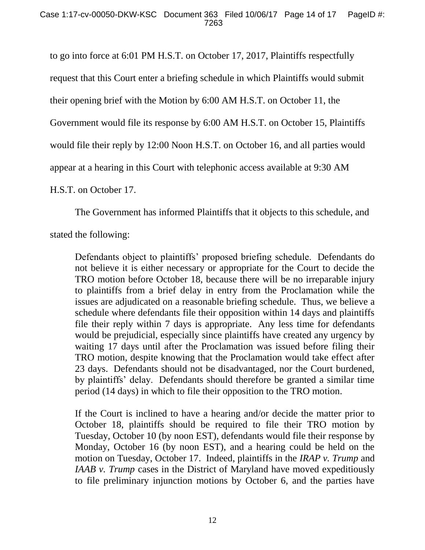to go into force at 6:01 PM H.S.T. on October 17, 2017, Plaintiffs respectfully request that this Court enter a briefing schedule in which Plaintiffs would submit their opening brief with the Motion by 6:00 AM H.S.T. on October 11, the Government would file its response by 6:00 AM H.S.T. on October 15, Plaintiffs would file their reply by 12:00 Noon H.S.T. on October 16, and all parties would appear at a hearing in this Court with telephonic access available at 9:30 AM H.S.T. on October 17.

The Government has informed Plaintiffs that it objects to this schedule, and

stated the following:

Defendants object to plaintiffs' proposed briefing schedule. Defendants do not believe it is either necessary or appropriate for the Court to decide the TRO motion before October 18, because there will be no irreparable injury to plaintiffs from a brief delay in entry from the Proclamation while the issues are adjudicated on a reasonable briefing schedule. Thus, we believe a schedule where defendants file their opposition within 14 days and plaintiffs file their reply within 7 days is appropriate. Any less time for defendants would be prejudicial, especially since plaintiffs have created any urgency by waiting 17 days until after the Proclamation was issued before filing their TRO motion, despite knowing that the Proclamation would take effect after 23 days. Defendants should not be disadvantaged, nor the Court burdened, by plaintiffs' delay. Defendants should therefore be granted a similar time period (14 days) in which to file their opposition to the TRO motion.

If the Court is inclined to have a hearing and/or decide the matter prior to October 18, plaintiffs should be required to file their TRO motion by Tuesday, October 10 (by noon EST), defendants would file their response by Monday, October 16 (by noon EST), and a hearing could be held on the motion on Tuesday, October 17. Indeed, plaintiffs in the *IRAP v. Trump* and *IAAB v. Trump* cases in the District of Maryland have moved expeditiously to file preliminary injunction motions by October 6, and the parties have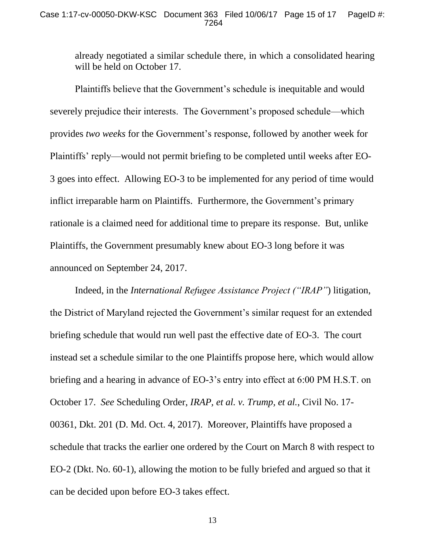already negotiated a similar schedule there, in which a consolidated hearing will be held on October 17.

Plaintiffs believe that the Government's schedule is inequitable and would severely prejudice their interests. The Government's proposed schedule—which provides *two weeks* for the Government's response, followed by another week for Plaintiffs' reply—would not permit briefing to be completed until weeks after EO-3 goes into effect. Allowing EO-3 to be implemented for any period of time would inflict irreparable harm on Plaintiffs. Furthermore, the Government's primary rationale is a claimed need for additional time to prepare its response. But, unlike Plaintiffs, the Government presumably knew about EO-3 long before it was announced on September 24, 2017.

Indeed, in the *International Refugee Assistance Project ("IRAP"*) litigation, the District of Maryland rejected the Government's similar request for an extended briefing schedule that would run well past the effective date of EO-3. The court instead set a schedule similar to the one Plaintiffs propose here, which would allow briefing and a hearing in advance of EO-3's entry into effect at 6:00 PM H.S.T. on October 17. *See* Scheduling Order, *IRAP, et al. v. Trump, et al.*, Civil No. 17- 00361, Dkt. 201 (D. Md. Oct. 4, 2017). Moreover, Plaintiffs have proposed a schedule that tracks the earlier one ordered by the Court on March 8 with respect to EO-2 (Dkt. No. 60-1), allowing the motion to be fully briefed and argued so that it can be decided upon before EO-3 takes effect.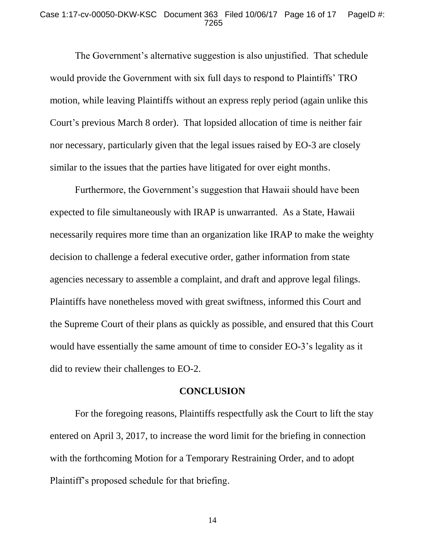#### Case 1:17-cv-00050-DKW-KSC Document 363 Filed 10/06/17 Page 16 of 17 PageID #: 7265

The Government's alternative suggestion is also unjustified. That schedule would provide the Government with six full days to respond to Plaintiffs' TRO motion, while leaving Plaintiffs without an express reply period (again unlike this Court's previous March 8 order). That lopsided allocation of time is neither fair nor necessary, particularly given that the legal issues raised by EO-3 are closely similar to the issues that the parties have litigated for over eight months.

Furthermore, the Government's suggestion that Hawaii should have been expected to file simultaneously with IRAP is unwarranted. As a State, Hawaii necessarily requires more time than an organization like IRAP to make the weighty decision to challenge a federal executive order, gather information from state agencies necessary to assemble a complaint, and draft and approve legal filings. Plaintiffs have nonetheless moved with great swiftness, informed this Court and the Supreme Court of their plans as quickly as possible, and ensured that this Court would have essentially the same amount of time to consider EO-3's legality as it did to review their challenges to EO-2.

### **CONCLUSION**

For the foregoing reasons, Plaintiffs respectfully ask the Court to lift the stay entered on April 3, 2017, to increase the word limit for the briefing in connection with the forthcoming Motion for a Temporary Restraining Order, and to adopt Plaintiff's proposed schedule for that briefing.